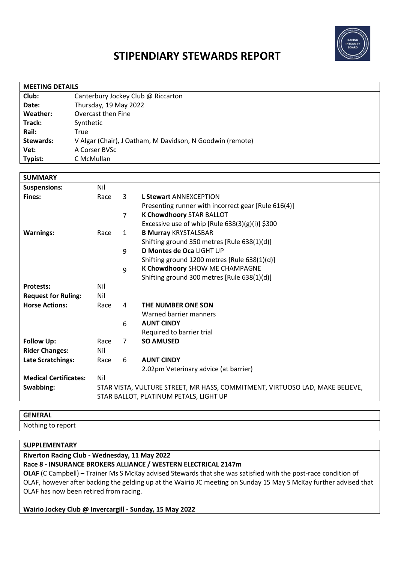

# **STIPENDIARY STEWARDS REPORT**

| <b>MEETING DETAILS</b> |                                                           |  |  |
|------------------------|-----------------------------------------------------------|--|--|
| Club:                  | Canterbury Jockey Club @ Riccarton                        |  |  |
| Date:                  | Thursday, 19 May 2022                                     |  |  |
| Weather:               | Overcast then Fine                                        |  |  |
| Track:                 | Synthetic                                                 |  |  |
| Rail:                  | True                                                      |  |  |
| <b>Stewards:</b>       | V Algar (Chair), J Oatham, M Davidson, N Goodwin (remote) |  |  |
| Vet:                   | A Corser BVSc                                             |  |  |
| Typist:                | C McMullan                                                |  |  |
|                        |                                                           |  |  |

| <b>SUMMARY</b>               |                                                                              |                |                                                     |
|------------------------------|------------------------------------------------------------------------------|----------------|-----------------------------------------------------|
| <b>Suspensions:</b>          | Nil                                                                          |                |                                                     |
| <b>Fines:</b>                | Race                                                                         | 3              | <b>L Stewart ANNEXCEPTION</b>                       |
|                              |                                                                              |                | Presenting runner with incorrect gear [Rule 616(4)] |
|                              |                                                                              | $\overline{7}$ | K Chowdhoory STAR BALLOT                            |
|                              |                                                                              |                | Excessive use of whip [Rule 638(3)(g)(i)] \$300     |
| <b>Warnings:</b>             | Race                                                                         | $\mathbf{1}$   | <b>B Murray KRYSTALSBAR</b>                         |
|                              |                                                                              |                | Shifting ground 350 metres [Rule 638(1)(d)]         |
|                              |                                                                              | 9              | D Montes de Oca LIGHT UP                            |
|                              |                                                                              |                | Shifting ground 1200 metres [Rule 638(1)(d)]        |
|                              |                                                                              | 9              | K Chowdhoory SHOW ME CHAMPAGNE                      |
|                              |                                                                              |                | Shifting ground 300 metres [Rule 638(1)(d)]         |
| <b>Protests:</b>             | Nil                                                                          |                |                                                     |
| <b>Request for Ruling:</b>   | Nil                                                                          |                |                                                     |
| <b>Horse Actions:</b>        | Race                                                                         | 4              | THE NUMBER ONE SON                                  |
|                              |                                                                              |                | Warned barrier manners                              |
|                              |                                                                              | 6              | <b>AUNT CINDY</b>                                   |
|                              |                                                                              |                | Required to barrier trial                           |
| <b>Follow Up:</b>            | Race                                                                         | 7              | <b>SO AMUSED</b>                                    |
| <b>Rider Changes:</b>        | Nil                                                                          |                |                                                     |
| <b>Late Scratchings:</b>     | Race                                                                         | 6              | <b>AUNT CINDY</b>                                   |
|                              |                                                                              |                | 2.02pm Veterinary advice (at barrier)               |
| <b>Medical Certificates:</b> | Nil                                                                          |                |                                                     |
| Swabbing:                    | STAR VISTA, VULTURE STREET, MR HASS, COMMITMENT, VIRTUOSO LAD, MAKE BELIEVE, |                |                                                     |
|                              | STAR BALLOT, PLATINUM PETALS, LIGHT UP                                       |                |                                                     |

#### **GENERAL**

Nothing to report

# **SUPPLEMENTARY**

**Riverton Racing Club - Wednesday, 11 May 2022**

**Race 8 - INSURANCE BROKERS ALLIANCE / WESTERN ELECTRICAL 2147m**

**OLAF** (C Campbell) – Trainer Ms S McKay advised Stewards that she was satisfied with the post-race condition of OLAF, however after backing the gelding up at the Wairio JC meeting on Sunday 15 May S McKay further advised that OLAF has now been retired from racing.

**Wairio Jockey Club @ Invercargill - Sunday, 15 May 2022**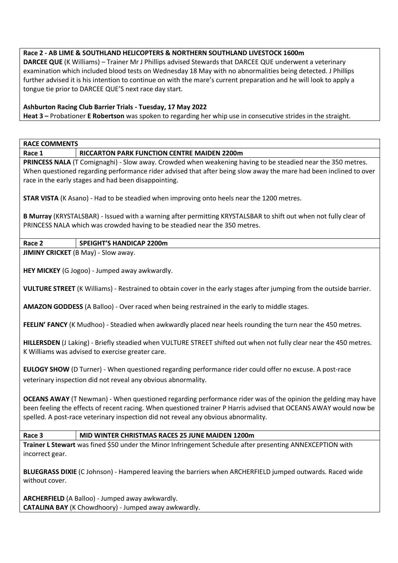#### **Race 2 - AB LIME & SOUTHLAND HELICOPTERS & NORTHERN SOUTHLAND LIVESTOCK 1600m**

**DARCEE QUE** (K Williams) – Trainer Mr J Phillips advised Stewards that DARCEE QUE underwent a veterinary examination which included blood tests on Wednesday 18 May with no abnormalities being detected. J Phillips further advised it is his intention to continue on with the mare's current preparation and he will look to apply a tongue tie prior to DARCEE QUE'S next race day start.

#### **Ashburton Racing Club Barrier Trials - Tuesday, 17 May 2022**

**Heat 3 –** Probationer **E Robertson** was spoken to regarding her whip use in consecutive strides in the straight.

**RACE COMMENTS**

**Race 1 RICCARTON PARK FUNCTION CENTRE MAIDEN 2200m**

**PRINCESS NALA** (T Comignaghi) - Slow away. Crowded when weakening having to be steadied near the 350 metres. When questioned regarding performance rider advised that after being slow away the mare had been inclined to over race in the early stages and had been disappointing.

**STAR VISTA** (K Asano) - Had to be steadied when improving onto heels near the 1200 metres.

**B Murray** (KRYSTALSBAR) - Issued with a warning after permitting KRYSTALSBAR to shift out when not fully clear of PRINCESS NALA which was crowded having to be steadied near the 350 metres.

#### **Race 2 SPEIGHT'S HANDICAP 2200m**

**JIMINY CRICKET** (B May) - Slow away.

**HEY MICKEY** (G Jogoo) - Jumped away awkwardly.

**VULTURE STREET** (K Williams) - Restrained to obtain cover in the early stages after jumping from the outside barrier.

**AMAZON GODDESS** (A Balloo) - Over raced when being restrained in the early to middle stages.

**FEELIN' FANCY** (K Mudhoo) - Steadied when awkwardly placed near heels rounding the turn near the 450 metres.

**HILLERSDEN** (J Laking) - Briefly steadied when VULTURE STREET shifted out when not fully clear near the 450 metres. K Williams was advised to exercise greater care.

**EULOGY SHOW** (D Turner) - When questioned regarding performance rider could offer no excuse. A post-race veterinary inspection did not reveal any obvious abnormality.

**OCEANS AWAY** (T Newman) - When questioned regarding performance rider was of the opinion the gelding may have been feeling the effects of recent racing. When questioned trainer P Harris advised that OCEANS AWAY would now be spelled. A post-race veterinary inspection did not reveal any obvious abnormality.

**Race 3 MID WINTER CHRISTMAS RACES 25 JUNE MAIDEN 1200m**

**Trainer L Stewart** was fined \$50 under the Minor Infringement Schedule after presenting ANNEXCEPTION with incorrect gear.

**BLUEGRASS DIXIE** (C Johnson) - Hampered leaving the barriers when ARCHERFIELD jumped outwards. Raced wide without cover.

**ARCHERFIELD** (A Balloo) - Jumped away awkwardly. **CATALINA BAY** (K Chowdhoory) - Jumped away awkwardly.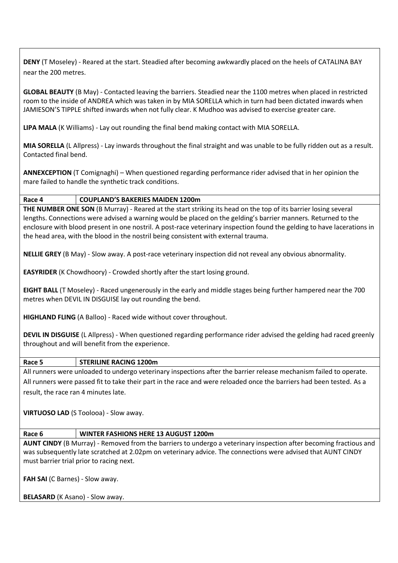**DENY** (T Moseley) - Reared at the start. Steadied after becoming awkwardly placed on the heels of CATALINA BAY near the 200 metres.

**GLOBAL BEAUTY** (B May) - Contacted leaving the barriers. Steadied near the 1100 metres when placed in restricted room to the inside of ANDREA which was taken in by MIA SORELLA which in turn had been dictated inwards when JAMIESON'S TIPPLE shifted inwards when not fully clear. K Mudhoo was advised to exercise greater care.

**LIPA MALA** (K Williams) - Lay out rounding the final bend making contact with MIA SORELLA.

**MIA SORELLA** (L Allpress) - Lay inwards throughout the final straight and was unable to be fully ridden out as a result. Contacted final bend.

**ANNEXCEPTION** (T Comignaghi) – When questioned regarding performance rider advised that in her opinion the mare failed to handle the synthetic track conditions.

**Race 4 COUPLAND'S BAKERIES MAIDEN 1200m**

**THE NUMBER ONE SON** (B Murray) - Reared at the start striking its head on the top of its barrier losing several lengths. Connections were advised a warning would be placed on the gelding's barrier manners. Returned to the enclosure with blood present in one nostril. A post-race veterinary inspection found the gelding to have lacerations in the head area, with the blood in the nostril being consistent with external trauma.

**NELLIE GREY** (B May) - Slow away. A post-race veterinary inspection did not reveal any obvious abnormality.

**EASYRIDER** (K Chowdhoory) - Crowded shortly after the start losing ground.

**EIGHT BALL** (T Moseley) - Raced ungenerously in the early and middle stages being further hampered near the 700 metres when DEVIL IN DISGUISE lay out rounding the bend.

**HIGHLAND FLING** (A Balloo) - Raced wide without cover throughout.

**DEVIL IN DISGUISE** (L Allpress) - When questioned regarding performance rider advised the gelding had raced greenly throughout and will benefit from the experience.

#### **Race 5 STERILINE RACING 1200m**

All runners were unloaded to undergo veterinary inspections after the barrier release mechanism failed to operate. All runners were passed fit to take their part in the race and were reloaded once the barriers had been tested. As a result, the race ran 4 minutes late.

**VIRTUOSO LAD** (S Toolooa) - Slow away.

### **Race 6 WINTER FASHIONS HERE 13 AUGUST 1200m**

**AUNT CINDY** (B Murray) - Removed from the barriers to undergo a veterinary inspection after becoming fractious and was subsequently late scratched at 2.02pm on veterinary advice. The connections were advised that AUNT CINDY must barrier trial prior to racing next.

**FAH SAI (C Barnes) - Slow away.** 

**BELASARD** (K Asano) - Slow away.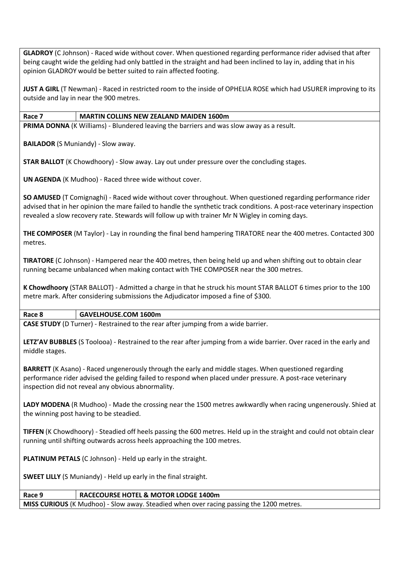**GLADROY** (C Johnson) - Raced wide without cover. When questioned regarding performance rider advised that after being caught wide the gelding had only battled in the straight and had been inclined to lay in, adding that in his opinion GLADROY would be better suited to rain affected footing.

**JUST A GIRL** (T Newman) - Raced in restricted room to the inside of OPHELIA ROSE which had USURER improving to its outside and lay in near the 900 metres.

#### **Race 7 MARTIN COLLINS NEW ZEALAND MAIDEN 1600m**

**PRIMA DONNA** (K Williams) - Blundered leaving the barriers and was slow away as a result.

**BAILADOR** (S Muniandy) - Slow away.

**STAR BALLOT** (K Chowdhoory) - Slow away. Lay out under pressure over the concluding stages.

**UN AGENDA** (K Mudhoo) - Raced three wide without cover.

**SO AMUSED** (T Comignaghi) - Raced wide without cover throughout. When questioned regarding performance rider advised that in her opinion the mare failed to handle the synthetic track conditions. A post-race veterinary inspection revealed a slow recovery rate. Stewards will follow up with trainer Mr N Wigley in coming days.

**THE COMPOSER** (M Taylor) - Lay in rounding the final bend hampering TIRATORE near the 400 metres. Contacted 300 metres.

**TIRATORE** (C Johnson) - Hampered near the 400 metres, then being held up and when shifting out to obtain clear running became unbalanced when making contact with THE COMPOSER near the 300 metres.

**K Chowdhoory** (STAR BALLOT) - Admitted a charge in that he struck his mount STAR BALLOT 6 times prior to the 100 metre mark. After considering submissions the Adjudicator imposed a fine of \$300.

# **Race 8 GAVELHOUSE.COM 1600m**

**CASE STUDY** (D Turner) - Restrained to the rear after jumping from a wide barrier.

**LETZ'AV BUBBLES** (S Toolooa) - Restrained to the rear after jumping from a wide barrier. Over raced in the early and middle stages.

**BARRETT** (K Asano) - Raced ungenerously through the early and middle stages. When questioned regarding performance rider advised the gelding failed to respond when placed under pressure. A post-race veterinary inspection did not reveal any obvious abnormality.

**LADY MODENA** (R Mudhoo) - Made the crossing near the 1500 metres awkwardly when racing ungenerously. Shied at the winning post having to be steadied.

**TIFFEN** (K Chowdhoory) - Steadied off heels passing the 600 metres. Held up in the straight and could not obtain clear running until shifting outwards across heels approaching the 100 metres.

**PLATINUM PETALS** (C Johnson) - Held up early in the straight.

**SWEET LILLY** (S Muniandy) - Held up early in the final straight.

# **Race 9 RACECOURSE HOTEL & MOTOR LODGE 1400m MISS CURIOUS** (K Mudhoo) - Slow away. Steadied when over racing passing the 1200 metres.